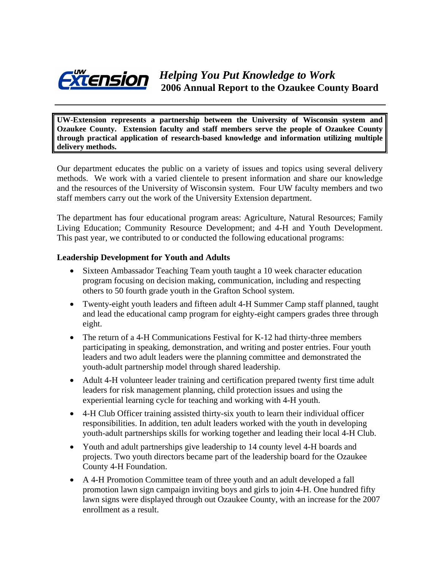

**UW-Extension represents a partnership between the University of Wisconsin system and Ozaukee County. Extension faculty and staff members serve the people of Ozaukee County through practical application of research-based knowledge and information utilizing multiple delivery methods.** 

Our department educates the public on a variety of issues and topics using several delivery methods. We work with a varied clientele to present information and share our knowledge and the resources of the University of Wisconsin system. Four UW faculty members and two staff members carry out the work of the University Extension department.

The department has four educational program areas: Agriculture, Natural Resources; Family Living Education; Community Resource Development; and 4-H and Youth Development. This past year, we contributed to or conducted the following educational programs:

#### **Leadership Development for Youth and Adults**

- Sixteen Ambassador Teaching Team youth taught a 10 week character education program focusing on decision making, communication, including and respecting others to 50 fourth grade youth in the Grafton School system.
- Twenty-eight youth leaders and fifteen adult 4-H Summer Camp staff planned, taught and lead the educational camp program for eighty-eight campers grades three through eight.
- The return of a 4-H Communications Festival for K-12 had thirty-three members participating in speaking, demonstration, and writing and poster entries. Four youth leaders and two adult leaders were the planning committee and demonstrated the youth-adult partnership model through shared leadership.
- Adult 4-H volunteer leader training and certification prepared twenty first time adult leaders for risk management planning, child protection issues and using the experiential learning cycle for teaching and working with 4-H youth.
- 4-H Club Officer training assisted thirty-six youth to learn their individual officer responsibilities. In addition, ten adult leaders worked with the youth in developing youth-adult partnerships skills for working together and leading their local 4-H Club.
- Youth and adult partnerships give leadership to 14 county level 4-H boards and projects. Two youth directors became part of the leadership board for the Ozaukee County 4-H Foundation.
- A 4-H Promotion Committee team of three youth and an adult developed a fall promotion lawn sign campaign inviting boys and girls to join 4-H. One hundred fifty lawn signs were displayed through out Ozaukee County, with an increase for the 2007 enrollment as a result.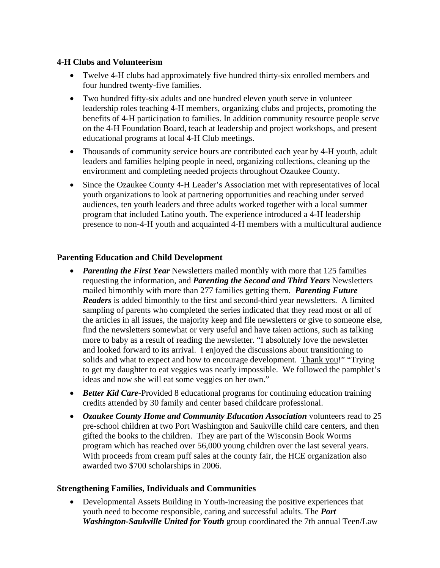#### **4-H Clubs and Volunteerism**

- Twelve 4-H clubs had approximately five hundred thirty-six enrolled members and four hundred twenty-five families.
- Two hundred fifty-six adults and one hundred eleven youth serve in volunteer leadership roles teaching 4-H members, organizing clubs and projects, promoting the benefits of 4-H participation to families. In addition community resource people serve on the 4-H Foundation Board, teach at leadership and project workshops, and present educational programs at local 4-H Club meetings.
- Thousands of community service hours are contributed each year by 4-H youth, adult leaders and families helping people in need, organizing collections, cleaning up the environment and completing needed projects throughout Ozaukee County.
- Since the Ozaukee County 4-H Leader's Association met with representatives of local youth organizations to look at partnering opportunities and reaching under served audiences, ten youth leaders and three adults worked together with a local summer program that included Latino youth. The experience introduced a 4-H leadership presence to non-4-H youth and acquainted 4-H members with a multicultural audience

## **Parenting Education and Child Development**

- *Parenting the First Year* Newsletters mailed monthly with more that 125 families requesting the information, and *Parenting the Second and Third Years* Newsletters mailed bimonthly with more than 277 families getting them. *Parenting Future Readers* is added bimonthly to the first and second-third year newsletters. A limited sampling of parents who completed the series indicated that they read most or all of the articles in all issues, the majority keep and file newsletters or give to someone else, find the newsletters somewhat or very useful and have taken actions, such as talking more to baby as a result of reading the newsletter. "I absolutely love the newsletter and looked forward to its arrival. I enjoyed the discussions about transitioning to solids and what to expect and how to encourage development. Thank you!" "Trying to get my daughter to eat veggies was nearly impossible. We followed the pamphlet's ideas and now she will eat some veggies on her own."
- *Better Kid Care-Provided 8 educational programs for continuing education training* credits attended by 30 family and center based childcare professional.
- *Ozaukee County Home and Community Education Association* volunteers read to 25 pre-school children at two Port Washington and Saukville child care centers, and then gifted the books to the children. They are part of the Wisconsin Book Worms program which has reached over 56,000 young children over the last several years. With proceeds from cream puff sales at the county fair, the HCE organization also awarded two \$700 scholarships in 2006.

## **Strengthening Families, Individuals and Communities**

• Developmental Assets Building in Youth-increasing the positive experiences that youth need to become responsible, caring and successful adults. The *Port Washington-Saukville United for Youth* group coordinated the 7th annual Teen/Law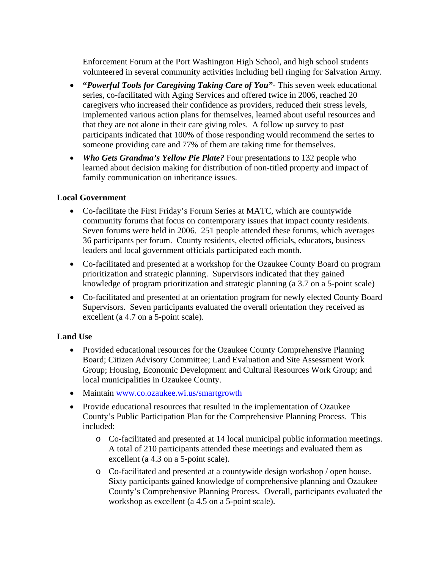Enforcement Forum at the Port Washington High School, and high school students volunteered in several community activities including bell ringing for Salvation Army.

- **"***Powerful Tools for Caregiving Taking Care of You"-* This seven week educational series, co-facilitated with Aging Services and offered twice in 2006, reached 20 caregivers who increased their confidence as providers, reduced their stress levels, implemented various action plans for themselves, learned about useful resources and that they are not alone in their care giving roles. A follow up survey to past participants indicated that 100% of those responding would recommend the series to someone providing care and 77% of them are taking time for themselves.
- *Who Gets Grandma's Yellow Pie Plate?* Four presentations to 132 people who learned about decision making for distribution of non-titled property and impact of family communication on inheritance issues.

## **Local Government**

- Co-facilitate the First Friday's Forum Series at MATC, which are countywide community forums that focus on contemporary issues that impact county residents. Seven forums were held in 2006. 251 people attended these forums, which averages 36 participants per forum. County residents, elected officials, educators, business leaders and local government officials participated each month.
- Co-facilitated and presented at a workshop for the Ozaukee County Board on program prioritization and strategic planning. Supervisors indicated that they gained knowledge of program prioritization and strategic planning (a 3.7 on a 5-point scale)
- Co-facilitated and presented at an orientation program for newly elected County Board Supervisors. Seven participants evaluated the overall orientation they received as excellent (a 4.7 on a 5-point scale).

## **Land Use**

- Provided educational resources for the Ozaukee County Comprehensive Planning Board; Citizen Advisory Committee; Land Evaluation and Site Assessment Work Group; Housing, Economic Development and Cultural Resources Work Group; and local municipalities in Ozaukee County.
- Maintain www.co.ozaukee.wi.us/smartgrowth
- Provide educational resources that resulted in the implementation of Ozaukee County's Public Participation Plan for the Comprehensive Planning Process. This included:
	- o Co-facilitated and presented at 14 local municipal public information meetings. A total of 210 participants attended these meetings and evaluated them as excellent (a 4.3 on a 5-point scale).
	- o Co-facilitated and presented at a countywide design workshop / open house. Sixty participants gained knowledge of comprehensive planning and Ozaukee County's Comprehensive Planning Process. Overall, participants evaluated the workshop as excellent (a 4.5 on a 5-point scale).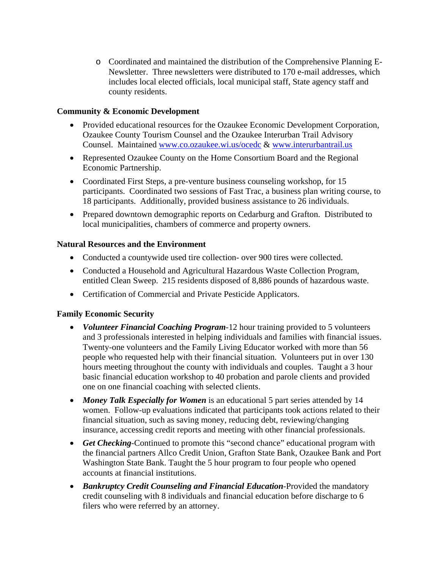o Coordinated and maintained the distribution of the Comprehensive Planning E-Newsletter. Three newsletters were distributed to 170 e-mail addresses, which includes local elected officials, local municipal staff, State agency staff and county residents.

#### **Community & Economic Development**

- Provided educational resources for the Ozaukee Economic Development Corporation, Ozaukee County Tourism Counsel and the Ozaukee Interurban Trail Advisory Counsel. Maintained www.co.ozaukee.wi.us/ocedc & www.interurbantrail.us
- Represented Ozaukee County on the Home Consortium Board and the Regional Economic Partnership.
- Coordinated First Steps, a pre-venture business counseling workshop, for 15 participants. Coordinated two sessions of Fast Trac, a business plan writing course, to 18 participants. Additionally, provided business assistance to 26 individuals.
- Prepared downtown demographic reports on Cedarburg and Grafton. Distributed to local municipalities, chambers of commerce and property owners.

#### **Natural Resources and the Environment**

- Conducted a countywide used tire collection- over 900 tires were collected.
- Conducted a Household and Agricultural Hazardous Waste Collection Program, entitled Clean Sweep. 215 residents disposed of 8,886 pounds of hazardous waste.
- Certification of Commercial and Private Pesticide Applicators.

## **Family Economic Security**

- *Volunteer Financial Coaching Program*-12 hour training provided to 5 volunteers and 3 professionals interested in helping individuals and families with financial issues. Twenty-one volunteers and the Family Living Educator worked with more than 56 people who requested help with their financial situation. Volunteers put in over 130 hours meeting throughout the county with individuals and couples. Taught a 3 hour basic financial education workshop to 40 probation and parole clients and provided one on one financial coaching with selected clients.
- *Money Talk Especially for Women* is an educational 5 part series attended by 14 women. Follow-up evaluations indicated that participants took actions related to their financial situation, such as saving money, reducing debt, reviewing/changing insurance, accessing credit reports and meeting with other financial professionals.
- *Get Checking*-Continued to promote this "second chance" educational program with the financial partners Allco Credit Union, Grafton State Bank, Ozaukee Bank and Port Washington State Bank. Taught the 5 hour program to four people who opened accounts at financial institutions.
- *Bankruptcy Credit Counseling and Financial Education*-Provided the mandatory credit counseling with 8 individuals and financial education before discharge to 6 filers who were referred by an attorney.